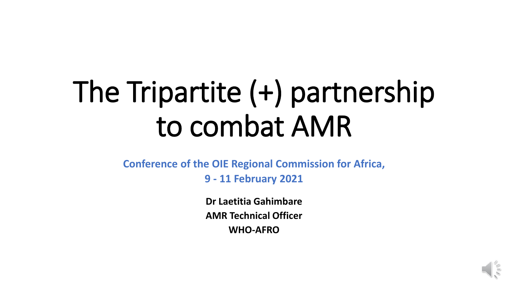# The Tripartite (+) partnership to combat AMR

**Conference of the OIE Regional Commission for Africa,** 

**9 - 11 February 2021**

**Dr Laetitia Gahimbare AMR Technical Officer WHO-AFRO**

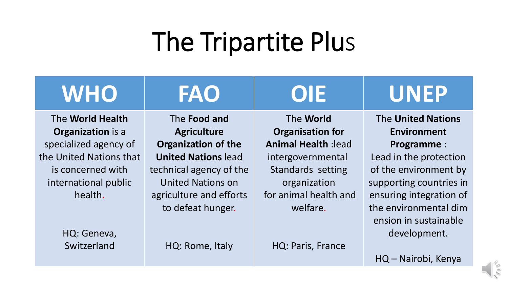# The Tripartite Plus

| <b>WHO</b>                                                                      | <b>FAO</b>                                                                                                                        | OE                                                                                          | <b>UNEP</b>                                                                                                                    |
|---------------------------------------------------------------------------------|-----------------------------------------------------------------------------------------------------------------------------------|---------------------------------------------------------------------------------------------|--------------------------------------------------------------------------------------------------------------------------------|
| The World Health<br><b>Organization</b> is a<br>specialized agency of           | The <b>Food and</b><br><b>Agriculture</b><br><b>Organization of the</b>                                                           | The World<br><b>Organisation for</b><br><b>Animal Health: lead</b>                          | <b>The United Nations</b><br><b>Environment</b><br><b>Programme:</b>                                                           |
| the United Nations that<br>is concerned with<br>international public<br>health. | <b>United Nations lead</b><br>technical agency of the<br><b>United Nations on</b><br>agriculture and efforts<br>to defeat hunger. | intergovernmental<br>Standards setting<br>organization<br>for animal health and<br>welfare. | Lead in the protection<br>of the environment by<br>supporting countries in<br>ensuring integration of<br>the environmental dim |
| HQ: Geneva,<br>Switzerland                                                      | HQ: Rome, Italy                                                                                                                   | HQ: Paris, France                                                                           | ension in sustainable<br>development.<br>HQ - Nairobi, Kenya                                                                   |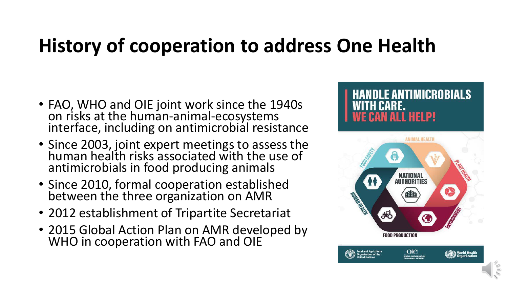### **History of cooperation to address One Health**

- FAO, WHO and OIE joint work since the 1940s on risks at the human-animal-ecosystems interface, including on antimicrobial resistance
- Since 2003, joint expert meetings to assess the human health risks associated with the use of antimicrobials in food producing animals
- Since 2010, formal cooperation established between the three organization on AMR
- 2012 establishment of Tripartite Secretariat
- 2015 Global Action Plan on AMR developed by WHO in cooperation with FAO and OIE

#### ANTIMICROBIALS RE. **HELP!**

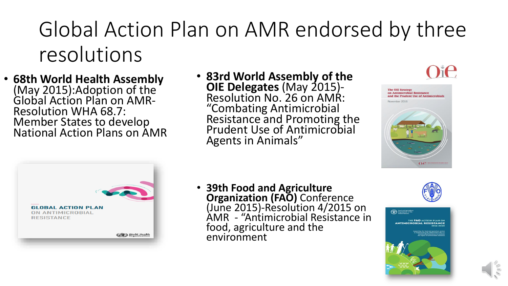### Global Action Plan on AMR endorsed by three resolutions

- **68th World Health Assembly**  (May 2015):Adoption of the Global Action Plan on AMR-Resolution WHA 68.7: Member States to develop National Action Plans on AMR
- **83rd World Assembly of the OIE Delegates** (May 2015)- Resolution No. 26 on AMR: "Combating Antimicrobial Resistance and Promoting the Prudent Use of Antimicrobial Agents in Animals"







• **39th Food and Agriculture Organization (FAO)** Conference (June 2015)-Resolution 4/2015 on AMR - "Antimicrobial Resistance in food, agriculture and the environment



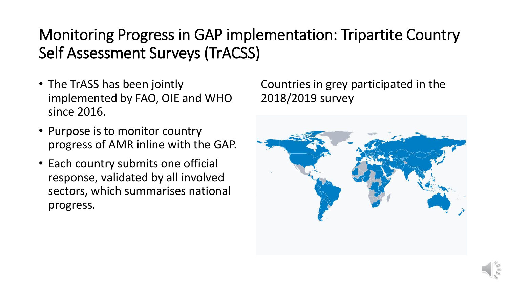#### Monitoring Progress in GAP implementation: Tripartite Country Self Assessment Surveys (TrACSS)

- The TrASS has been jointly implemented by FAO, OIE and WHO since 2016.
- Purpose is to monitor country progress of AMR inline with the GAP.
- Each country submits one official response, validated by all involved sectors, which summarises national progress.

Countries in grey participated in the 2018/2019 survey

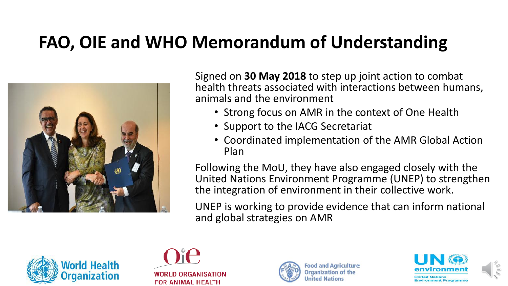#### **FAO, OIE and WHO Memorandum of Understanding**



Signed on **30 May 2018** to step up joint action to combat health threats associated with interactions between humans, animals and the environment

- Strong focus on AMR in the context of One Health
- Support to the IACG Secretariat
- Coordinated implementation of the AMR Global Action Plan

Following the MoU, they have also engaged closely with the United Nations Environment Programme (UNEP) to strengthen the integration of environment in their collective work.

UNEP is working to provide evidence that can inform national and global strategies on AMR









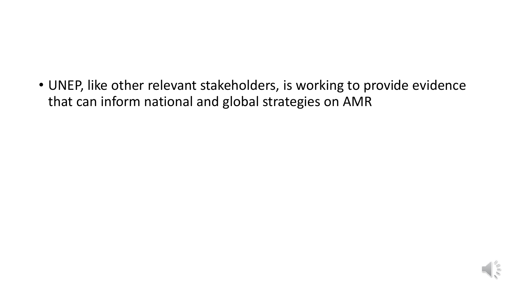• UNEP, like other relevant stakeholders, is working to provide evidence that can inform national and global strategies on AMR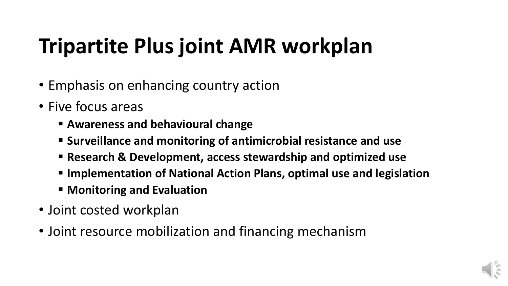## **Tripartite Plus joint AMR workplan**

- Emphasis on enhancing country action
- Five focus areas
	- **Awareness and behavioural change**
	- **Surveillance and monitoring of antimicrobial resistance and use**
	- **Research & Development, access stewardship and optimized use**
	- **Implementation of National Action Plans, optimal use and legislation**
	- **Monitoring and Evaluation**
- Joint costed workplan
- Joint resource mobilization and financing mechanism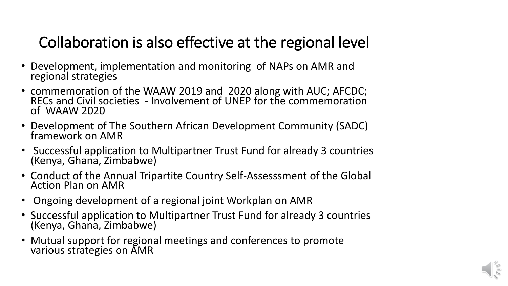#### Collaboration is also effective at the regional level

- Development, implementation and monitoring of NAPs on AMR and regional strategies
- commemoration of the WAAW 2019 and 2020 along with AUC; AFCDC; RECs and Civil societies - Involvement of UNEP for the commemoration of WAAW 2020
- Development of The Southern African Development Community (SADC) framework on AMR
- Successful application to Multipartner Trust Fund for already 3 countries (Kenya, Ghana, Zimbabwe)
- Conduct of the Annual Tripartite Country Self-Assesssment of the Global Action Plan on AMR
- Ongoing development of a regional joint Workplan on AMR
- Successful application to Multipartner Trust Fund for already 3 countries (Kenya, Ghana, Zimbabwe)
- Mutual support for regional meetings and conferences to promote various strategies on AMR

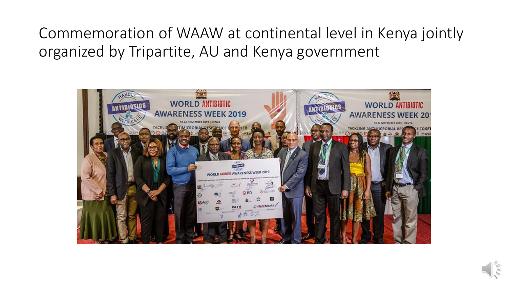Commemoration of WAAW at continental level in Kenya jointly organized by Tripartite, AU and Kenya government